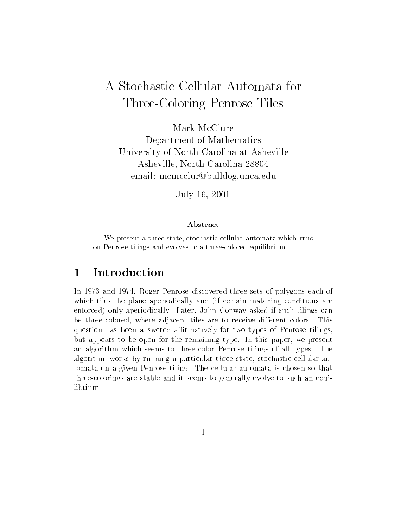# A Stochastic Cellular Automata for Three-Coloring Penrose Tiles

Mark McClure Department of Mathematics University of North Carolina at Asheville Asheville, North Carolina 28804 email: mcmcclur@bulldog.unca.edu

July 16, 2001

### Abstract

We present a three state, stochastic cellular automata which runson Penrose tilings and evolves to a three-colored equilibrium.

#### 1Introduction

In 1973 and 1974, Roger Penrose discovered three sets of polygons each of which tiles the plane aperiodically and (if certain matching conditions are enforced) only aperiodically. Later, John Conway asked if such tilings can be three-colored, where adjacent tiles are to receive different colors. This question has been answered affirmatively for two types of Penrose tilings, but appears to be open for the remaining type. In this paper, we present an algorithm which seems to three-color Penrose tilings of all types. The algorithm works by running a particular three state, stochastic cellular automata on a given Penrose tiling. The cellular automata is chosen so that three-colorings are stable and it seems to generally evolve to such an equilibrium.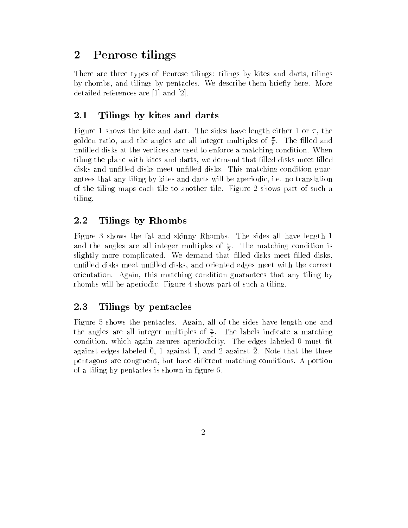#### 2Penrose tilings

There are three types of Penrose tilings: tilings by kites and darts, tilings by rhombs, and tilings by pentacles. We describe them briefly here. More detailed references are [1] and [2].

#### 2.1Tilings by kites and darts

Figure 1 shows the kite and dart. The sides have length either 1 or  $\tau$ , the golden ratio, and the angles are all integer multiples of  $\frac{1}{\epsilon}$ . The filled and unfilled disks at the vertices are used to enforce a matching condition. When tiling the plane with kites and darts, we demand that filled disks meet filled disks and unfilled disks meet unfilled disks. This matching condition guarantees that any tiling by kites and darts will be aperiodic, i.e. no translation of the tiling maps each tile to another tile. Figure 2 shows part of such a tiling.

#### 2.2Tilings by Rhombs

Figure 3 shows the fat and skinny Rhombs. The sides all have length 1 and the angles are all integer multiples of  $\frac{1}{5}$ . The matching condition is slightly more complicated. We demand that filled disks meet filled disks, unfilled disks meet unfilled disks, and oriented edges meet with the correct orientation. Again, this matching condition guarantees that any tiling by rhombs will be aperiodic. Figure 4 shows part of such a tiling.

#### 2.3Tilings by pentacles

Figure 5 shows the pentacles. Again, all of the sides have length one and the angles are all integer multiples of  $\frac{1}{n}$ . The labels indicate a matching condition, which again assures aperiodicity. The edges labeled 0 must fit against edges labeled 0, 1 against 1, and 2 against 2. Note that the three pentagons are congruent, but have different matching conditions. A portion of a tiling by pentacles is shown in figure 6.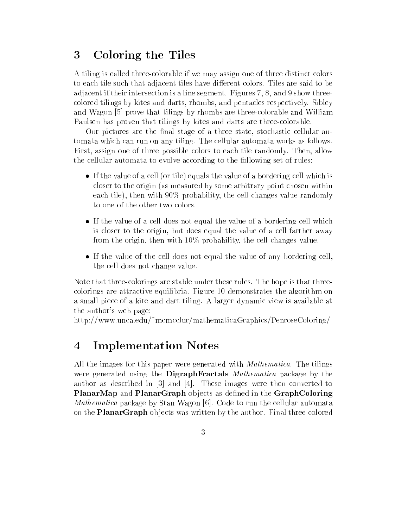#### 3Coloring the Tiles

A tiling is called three-colorable if we may assign one of three distinct colors to each tile such that adjacent tiles have different colors. Tiles are said to be adjacent if their intersection is a line segment. Figures 7, 8, and 9 show threecolored tilings by kites and darts, rhombs, and pentacles respectively. Sibley and Wagon [5] prove that tilings by rhombs are three-colorable and William Paulsen has proven that tilings by kites and darts are three-colorable.

Our pictures are the final stage of a three state, stochastic cellular automata which can run on any tiling. The cellular automata works as follows. First, assign one of three possible colors to each tile randomly. Then, allow the cellular automata to evolve according to the following set of rules:

- If the value of a cell (or tile) equals the value of a bordering cell which is closer to the origin (as measured by some arbitrary point chosen within each tile), then with 90% probability, the cell changes value randomly to one of the other two colors.
- If the value of a cell does not equal the value of a bordering cell which is closer to the origin, but does equal the value of a cell farther away from the origin, then with 10% probability, the cell changes value.
- If the value of the cell does not equal the value of any bordering cell, the cell does not change value.

Note that three-colorings are stable under these rules. The hope is that threecolorings are attractive equilibria. Figure 10 demonstrates the algorithm on a small piece of a kite and dart tiling. A larger dynamic view is available at the author's web page:

http://www.unca.edu/~mcmcclur/mathematicaGraphics/PenroseColoring/

#### 4Implementation Notes

All the images for this paper were generated with *Mathematica*. The tilings were generated using the **DigraphFractals** Mathematica package by the author as described in [3] and [4]. These images were then converted to  $P$  is defined as defining or  $P$  and  $P$  is a defined in the Graph observed in the Graph of  $\mathcal{P}$ Mathematica package by Stan Wagon [6]. Code to run the cellular automata on the **PlanarGraph** objects was written by the author. Final three-colored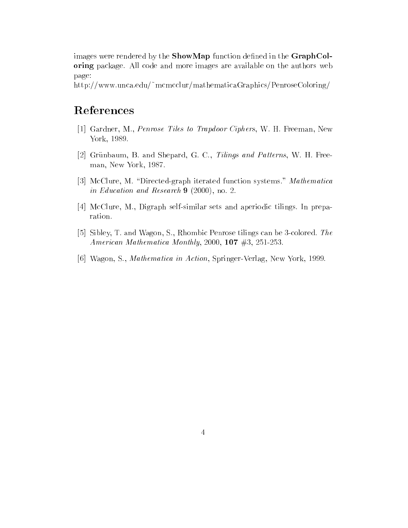images were rendered by the **ShowMap** function defined in the  $GraphCol$ oring package. All code and more images are available on the authors web page:

http://www.unca.edu/~mcmcclur/mathematicaGraphics/PenroseColoring/

## References

- [1] Gardner, M., Penrose Tiles to Trapdoor Ciphers, W. H. Freeman, New York, 1989.
- [2] Grünbaum, B. and Shepard, G. C., Tilings and Patterns, W. H. Freeman, New York, 1987.
- [3] McClure, M. "Directed-graph iterated function systems." Mathematica in Education and Research 9 (2000), no. 2.
- [4] McClure, M., Digraph self-similar sets and aperiodic tilings. In preparation.
- [5] Sibley, T. and Wagon, S., Rhombic Penrose tilings can be 3-colored. The American Mathematica Monthly, 2000, <sup>107</sup> #3, 251-253.
- [6] Wagon, S., Mathematica in Action, Springer-Verlag, New York, 1999.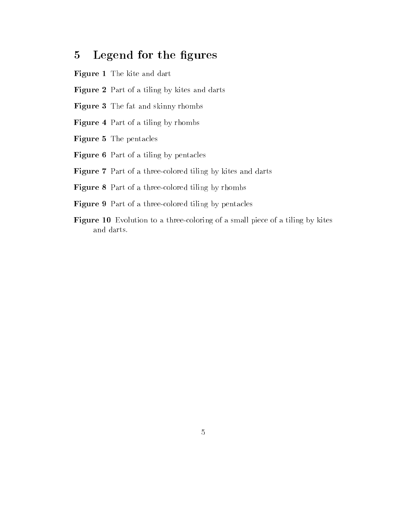#### 5Legend for the figures

- Figure 1 The kite and dart
- Figure 2 Part of a tiling by kites and darts
- Figure 3 The fat and skinny rhombs
- Figure 4 Part of a tiling by rhombs
- Figure 5 The pentacles
- Figure 6 Part of a tiling by pentacles
- Figure 7 Part of a three-colored tiling by kites and darts
- Figure 8 Part of a three-colored tiling by rhombs
- Figure 9 Part of a three-colored tiling by pentacles
- Figure 10 Evolution to a three-coloring of a small piece of a tiling by kites and darts.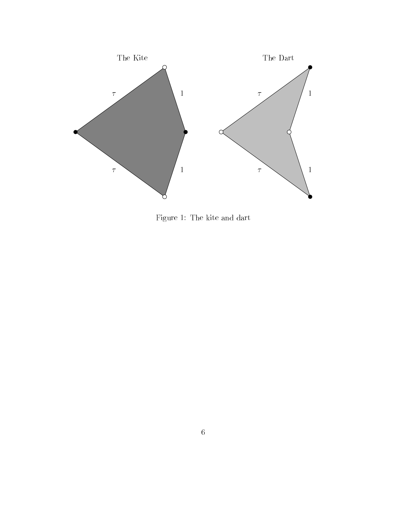

Figure 1: The kite and dart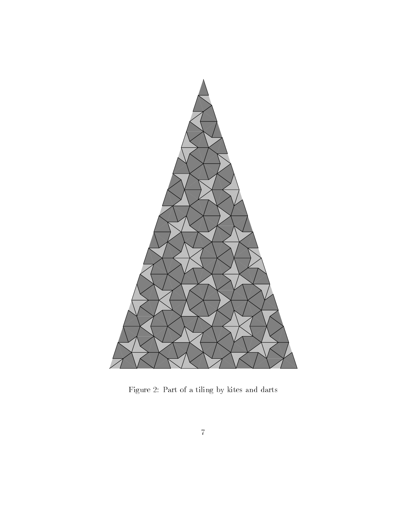

Figure 2: Part of a tiling by kites and darts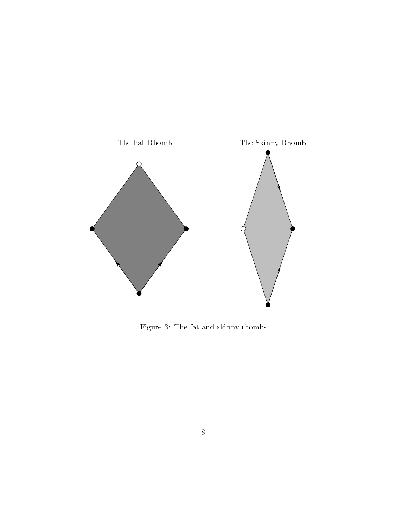

Figure 3: The fat and skinny rhombs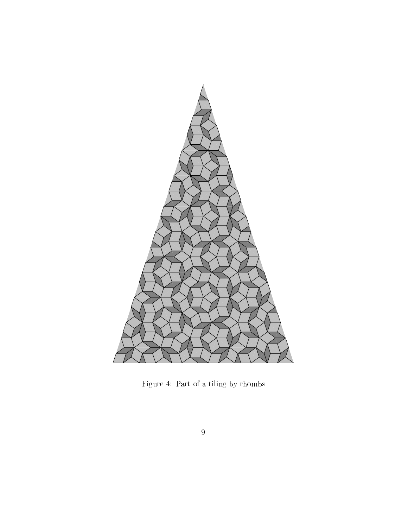![](_page_8_Picture_0.jpeg)

Figure 4: Part of a tiling by rhombs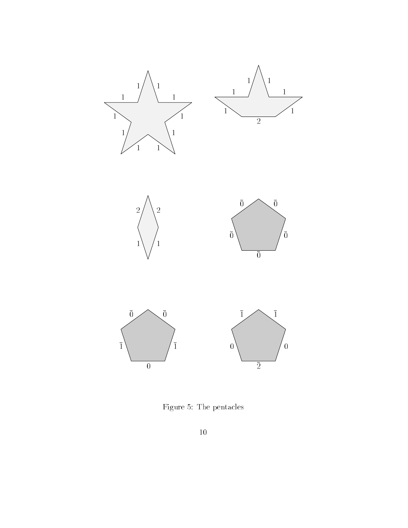![](_page_9_Figure_0.jpeg)

Figure 5: The pentacles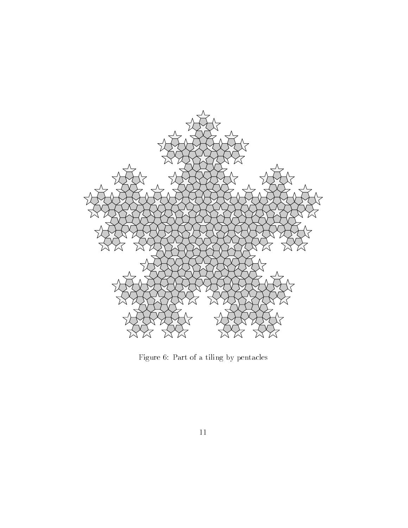![](_page_10_Figure_0.jpeg)

Figure 6: Part of a tiling by pentacles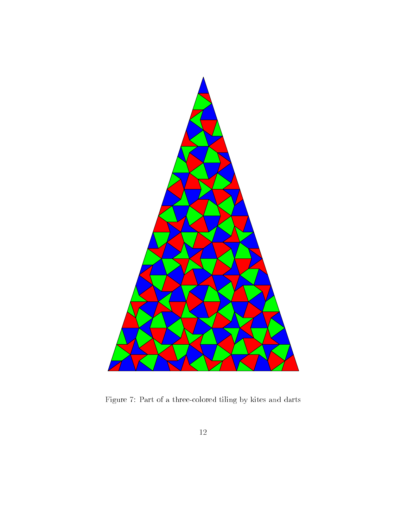![](_page_11_Figure_0.jpeg)

Figure 7: Part of a three-colored tiling by kites and darts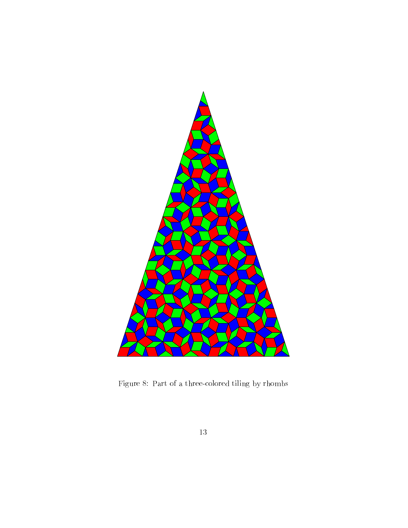![](_page_12_Figure_0.jpeg)

Figure 8: Part of a three-colored tiling by rhombs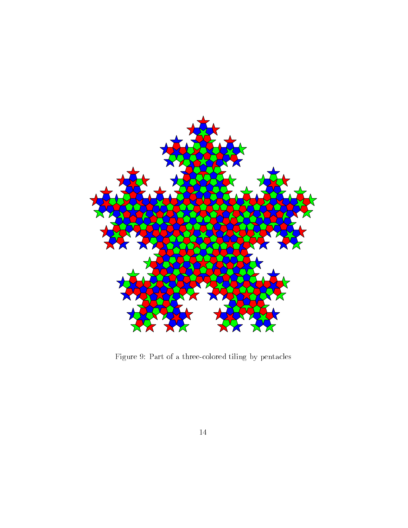![](_page_13_Figure_0.jpeg)

Figure 9: Part of a three-colored tiling by pentacles